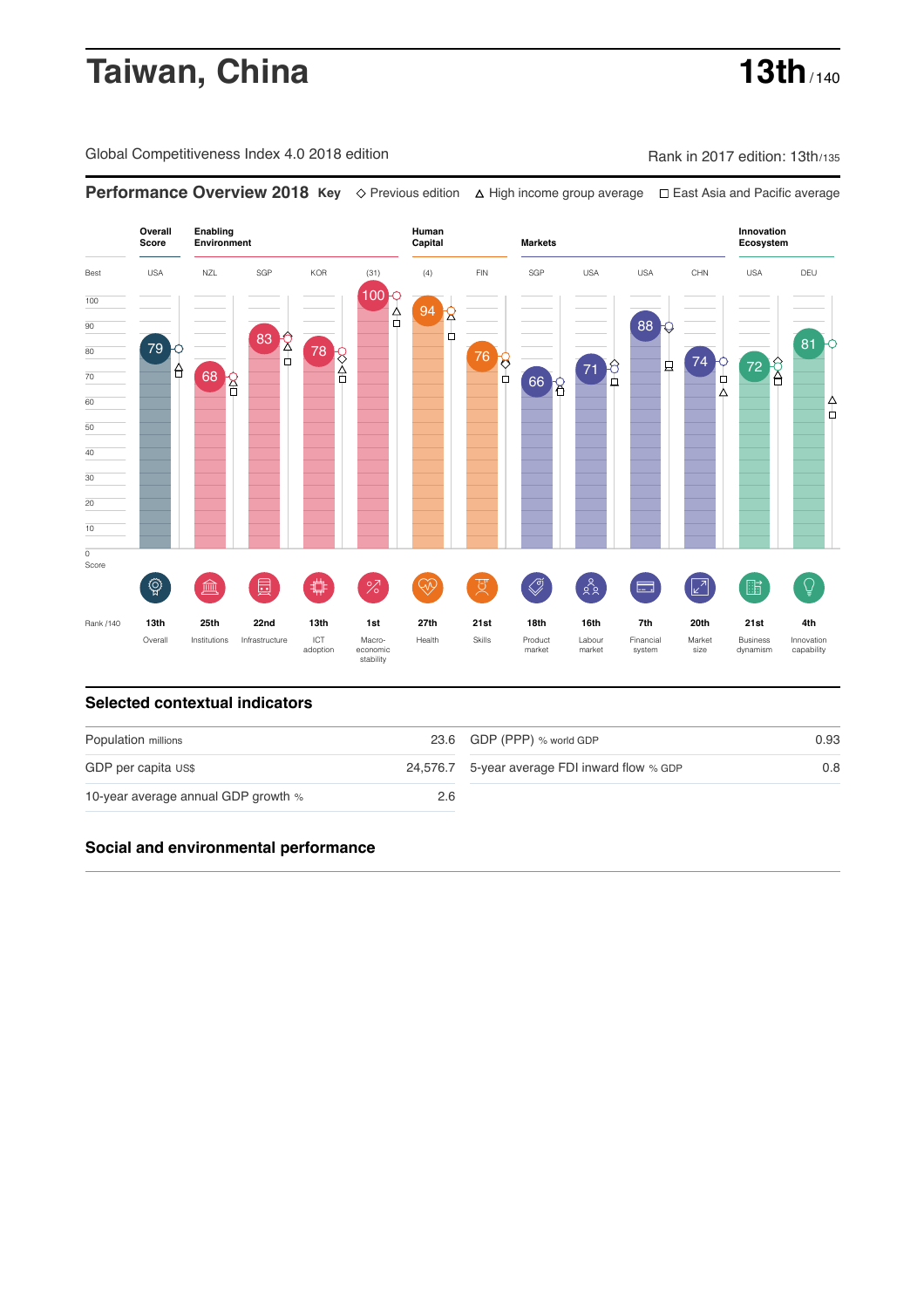# **Taiwan, China 13th** / 140

Global Competitiveness Index 4.0 2018 edition Company Rank in 2017 edition: 13th/135

**Performance Overview 2018 Key** Previous edition High income group average East Asia and Pacific average



### **Selected contextual indicators**

| Population millions                 |     | 23.6 GDP (PPP) % world GDP                    | 0.93 |  |
|-------------------------------------|-----|-----------------------------------------------|------|--|
| GDP per capita US\$                 |     | 24,576.7 5-year average FDI inward flow % GDP | 0.8  |  |
| 10-year average annual GDP growth % | 2.6 |                                               |      |  |

## **Social and environmental performance**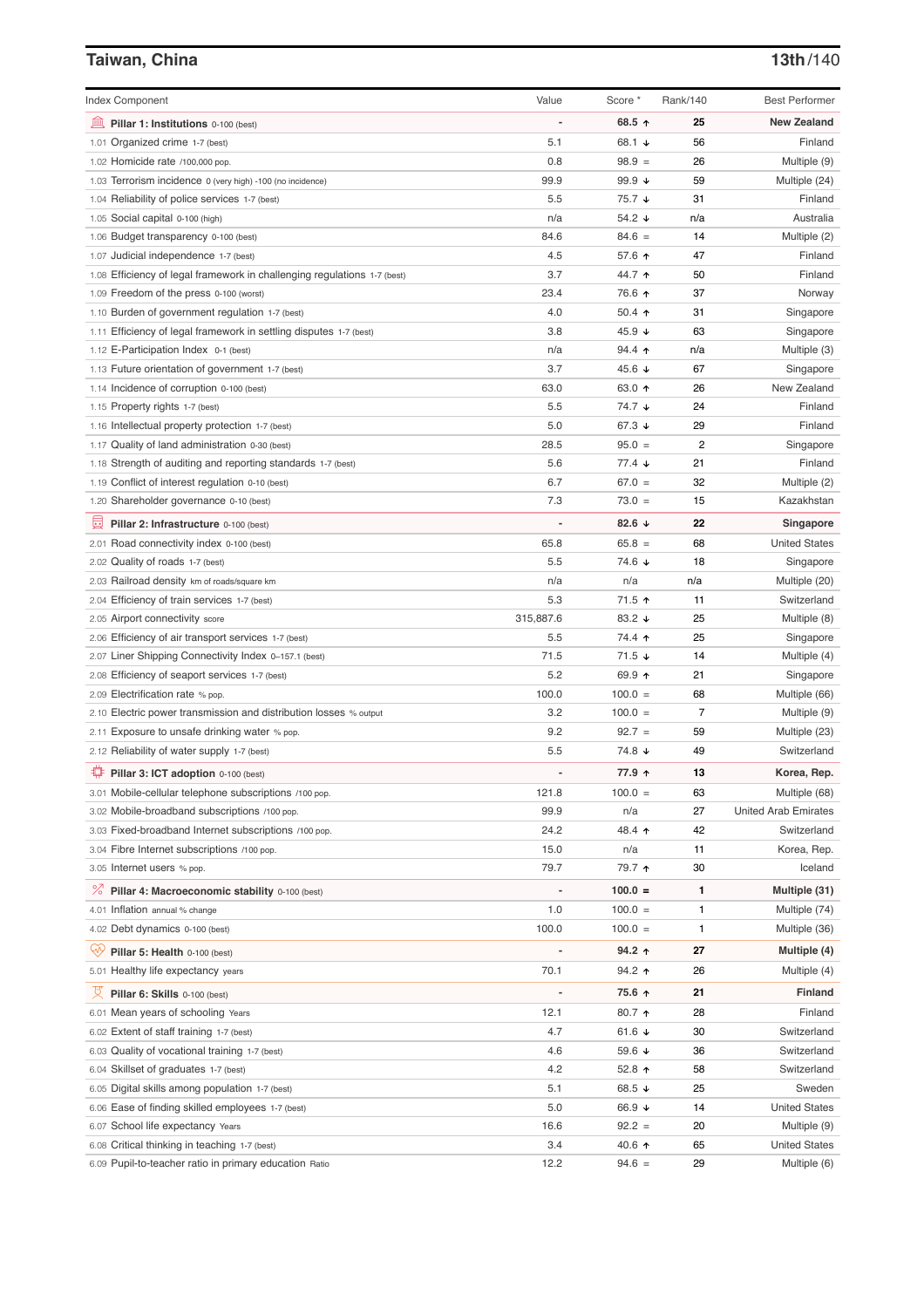# **Taiwan, China 13th**/140

| <b>Index Component</b>                                                                     | Value                    | Score *                   | Rank/140 | <b>Best Performer</b>       |
|--------------------------------------------------------------------------------------------|--------------------------|---------------------------|----------|-----------------------------|
| 寙<br>Pillar 1: Institutions 0-100 (best)                                                   | Ĭ.                       | 68.5 ↑                    | 25       | <b>New Zealand</b>          |
| 1.01 Organized crime 1-7 (best)                                                            | 5.1                      | 68.1 ↓                    | 56       | Finland                     |
| 1.02 Homicide rate /100,000 pop.                                                           | 0.8                      | $98.9 =$                  | 26       | Multiple (9)                |
| 1.03 Terrorism incidence 0 (very high) -100 (no incidence)                                 | 99.9                     | 99.9 $\sqrt{ }$           | 59       | Multiple (24)               |
| 1.04 Reliability of police services 1-7 (best)                                             | 5.5                      | 75.7 ↓                    | 31       | Finland                     |
| 1.05 Social capital 0-100 (high)                                                           | n/a                      | 54.2 ↓                    | n/a      | Australia                   |
| 1.06 Budget transparency 0-100 (best)                                                      | 84.6                     | $84.6 =$                  | 14       | Multiple (2)                |
| 1.07 Judicial independence 1-7 (best)                                                      | 4.5                      | 57.6 ↑                    | 47       | Finland                     |
| 1.08 Efficiency of legal framework in challenging regulations 1-7 (best)                   | 3.7                      | 44.7 ↑                    | 50       | Finland                     |
| 1.09 Freedom of the press 0-100 (worst)                                                    | 23.4                     | 76.6 ↑                    | 37       | Norway                      |
| 1.10 Burden of government regulation 1-7 (best)                                            | 4.0                      | $50.4$ 1                  | 31       | Singapore                   |
| 1.11 Efficiency of legal framework in settling disputes 1-7 (best)                         | 3.8                      | 45.9 $\sqrt{ }$           | 63       | Singapore                   |
| 1.12 E-Participation Index 0-1 (best)                                                      | n/a                      | $94.4$ 1                  | n/a      | Multiple (3)                |
| 1.13 Future orientation of government 1-7 (best)                                           | 3.7                      | 45.6 ↓                    | 67       | Singapore                   |
| 1.14 Incidence of corruption 0-100 (best)                                                  | 63.0                     | 63.0 个                    | 26       | New Zealand                 |
| 1.15 Property rights 1-7 (best)                                                            | 5.5                      | 74.7 ↓                    | 24       | Finland                     |
| 1.16 Intellectual property protection 1-7 (best)                                           | 5.0                      | 67.3 $\sqrt{ }$           | 29       | Finland                     |
| 1.17 Quality of land administration 0-30 (best)                                            | 28.5                     | $95.0 =$                  | 2        | Singapore                   |
| 1.18 Strength of auditing and reporting standards 1-7 (best)                               | 5.6                      | $77.4 \; \downarrow$      | 21       | Finland                     |
| 1.19 Conflict of interest regulation 0-10 (best)                                           | 6.7                      | $67.0 =$                  | 32       | Multiple (2)                |
| 1.20 Shareholder governance 0-10 (best)                                                    | 7.3                      | $73.0 =$                  | 15       | Kazakhstan                  |
| 員<br>Pillar 2: Infrastructure 0-100 (best)                                                 | ÷,                       | 82.6 $\sqrt{ }$           | 22       | Singapore                   |
| 2.01 Road connectivity index 0-100 (best)                                                  | 65.8                     | $65.8 =$                  | 68       | <b>United States</b>        |
| 2.02 Quality of roads 1-7 (best)                                                           | 5.5                      | 74.6 ↓                    | 18       | Singapore                   |
| 2.03 Railroad density km of roads/square km                                                | n/a                      | n/a                       | n/a      | Multiple (20)               |
| 2.04 Efficiency of train services 1-7 (best)                                               | 5.3                      | 71.5 ↑                    | 11       | Switzerland                 |
| 2.05 Airport connectivity score                                                            | 315,887.6                | 83.2 ↓                    | 25       | Multiple (8)                |
| 2.06 Efficiency of air transport services 1-7 (best)                                       | 5.5                      | 74.4 ተ                    | 25       | Singapore                   |
| 2.07 Liner Shipping Connectivity Index 0-157.1 (best)                                      | 71.5                     | $71.5 \; \downarrow$      | 14       | Multiple (4)                |
| 2.08 Efficiency of seaport services 1-7 (best)                                             | 5.2                      | 69.9 ↑                    | 21       | Singapore                   |
| 2.09 Electrification rate % pop.                                                           | 100.0                    | $100.0 =$                 | 68       | Multiple (66)               |
| 2.10 Electric power transmission and distribution losses % output                          | 3.2                      | $100.0 =$                 | 7        | Multiple (9)                |
| 2.11 Exposure to unsafe drinking water % pop.                                              | 9.2                      | $92.7 =$                  | 59       | Multiple (23)               |
| 2.12 Reliability of water supply 1-7 (best)                                                | 5.5                      | 74.8 ↓                    | 49       | Switzerland                 |
| O<br>Pillar 3: ICT adoption 0-100 (best)                                                   |                          | 77.9 ↑                    | 13       | Korea, Rep.                 |
| 3.01 Mobile-cellular telephone subscriptions /100 pop.                                     | 121.8                    | $100.0 =$                 | 63       | Multiple (68)               |
| 3.02 Mobile-broadband subscriptions /100 pop.                                              | 99.9                     | n/a                       | 27       | <b>United Arab Emirates</b> |
| 3.03 Fixed-broadband Internet subscriptions /100 pop.                                      | 24.2                     | 48.4 ↑                    | 42       | Switzerland                 |
| 3.04 Fibre Internet subscriptions /100 pop.                                                | 15.0                     | n/a                       | 11       | Korea, Rep.                 |
| 3.05 Internet users % pop.                                                                 | 79.7                     | 79.7 ተ                    | 30       | Iceland                     |
| ℅<br>Pillar 4: Macroeconomic stability 0-100 (best)                                        | $\overline{\phantom{a}}$ | $100.0 =$                 | 1        | Multiple (31)               |
| 4.01 Inflation annual % change                                                             | 1.0                      | $100.0 =$                 | 1        | Multiple (74)               |
| 4.02 Debt dynamics 0-100 (best)                                                            | 100.0                    | $100.0 =$                 | 1        | Multiple (36)               |
| Qÿ<br>Pillar 5: Health 0-100 (best)                                                        |                          | 94.2 ↑                    | 27       | Multiple (4)                |
| 5.01 Healthy life expectancy years                                                         | 70.1                     | 94.2 ↑                    | 26       | Multiple (4)                |
| 섯                                                                                          | -                        | 75.6 ↑                    | 21       | Finland                     |
| Pillar 6: Skills 0-100 (best)                                                              |                          |                           |          |                             |
| 6.01 Mean years of schooling Years                                                         | 12.1<br>4.7              | 80.7 ↑<br>61.6 $\sqrt{ }$ | 28<br>30 | Finland<br>Switzerland      |
| 6.02 Extent of staff training 1-7 (best)<br>6.03 Quality of vocational training 1-7 (best) | 4.6                      | 59.6 ↓                    | 36       | Switzerland                 |
|                                                                                            |                          |                           |          |                             |
| 6.04 Skillset of graduates 1-7 (best)<br>6.05 Digital skills among population 1-7 (best)   | 4.2<br>5.1               | 52.8 个<br>68.5 ↓          | 58<br>25 | Switzerland<br>Sweden       |
| 6.06 Ease of finding skilled employees 1-7 (best)                                          | 5.0                      | 66.9 ↓                    | 14       | <b>United States</b>        |
| 6.07 School life expectancy Years                                                          | 16.6                     | $92.2 =$                  | 20       | Multiple (9)                |
| 6.08 Critical thinking in teaching 1-7 (best)                                              | 3.4                      | 40.6 ↑                    | 65       | <b>United States</b>        |
| 6.09 Pupil-to-teacher ratio in primary education Ratio                                     | 12.2                     | $94.6 =$                  | 29       | Multiple (6)                |